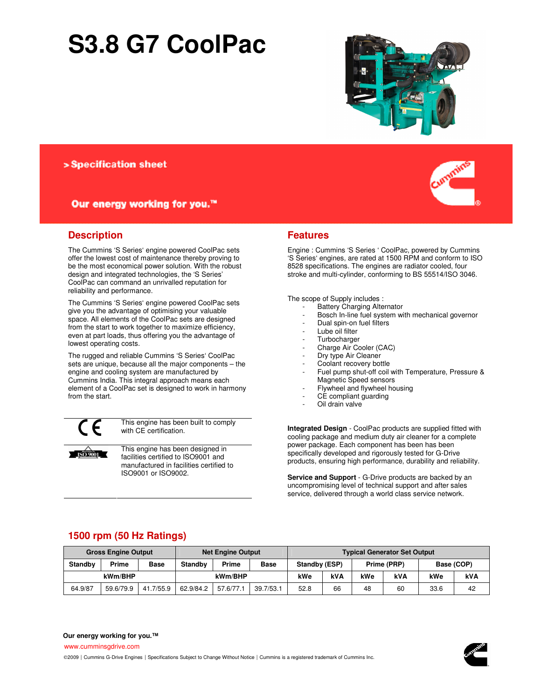## **S3.8 G7 CoolPac**



> Specification sheet

#### Our energy working for you.™

#### **Description**

The Cummins 'S Series' engine powered CoolPac sets offer the lowest cost of maintenance thereby proving to be the most economical power solution. With the robust design and integrated technologies, the 'S Series' CoolPac can command an unrivalled reputation for reliability and performance.

The Cummins 'S Series' engine powered CoolPac sets give you the advantage of optimising your valuable space. All elements of the CoolPac sets are designed from the start to work together to maximize efficiency, even at part loads, thus offering you the advantage of lowest operating costs.

The rugged and reliable Cummins 'S Series' CoolPac sets are unique, because all the major components – the engine and cooling system are manufactured by Cummins India. This integral approach means each element of a CoolPac set is designed to work in harmony from the start.

 $\overline{1509001}$ 

This engine has been built to comply with CE certification.

This engine has been designed in facilities certified to ISO9001 and manufactured in facilities certified to ISO9001 or ISO9002.

#### **Features**

Engine : Cummins 'S Series ' CoolPac, powered by Cummins 'S Series' engines, are rated at 1500 RPM and conform to ISO 8528 specifications. The engines are radiator cooled, four stroke and multi-cylinder, conforming to BS 55514/ISO 3046.

The scope of Supply includes :

- Battery Charging Alternator
- Bosch In-line fuel system with mechanical governor
- Dual spin-on fuel filters
- Lube oil filter
- **Turbocharger**
- Charge Air Cooler (CAC)
- Dry type Air Cleaner
- Coolant recovery bottle
- Fuel pump shut-off coil with Temperature, Pressure & Magnetic Speed sensors
- Flywheel and flywheel housing
- CE compliant quarding
- Oil drain valve

**Integrated Design** - CoolPac products are supplied fitted with cooling package and medium duty air cleaner for a complete power package. Each component has been has been specifically developed and rigorously tested for G-Drive products, ensuring high performance, durability and reliability.

**Service and Support** - G-Drive products are backed by an uncompromising level of technical support and after sales service, delivered through a world class service network.

#### **1500 rpm (50 Hz Ratings)**

| <b>Gross Engine Output</b> |           |             | <b>Net Engine Output</b> |              |             | <b>Typical Generator Set Output</b> |     |             |     |            |    |
|----------------------------|-----------|-------------|--------------------------|--------------|-------------|-------------------------------------|-----|-------------|-----|------------|----|
| <b>Standby</b>             | Prime     | <b>Base</b> | <b>Standby</b>           | <b>Prime</b> | <b>Base</b> | Standby (ESP)                       |     | Prime (PRP) |     | Base (COP) |    |
| kWm/BHP                    |           |             | kWm/BHP                  |              | kWe         | kVA                                 | kWe | <b>kVA</b>  | kWe | kVA        |    |
| 64.9/87                    | 59.6/79.9 | 41.7/55.9   | 62.9/84.2                | 57.6/77.1    | 39.7/53.1   | 52.8                                | 66  | 48          | 60  | 33.6       | 42 |